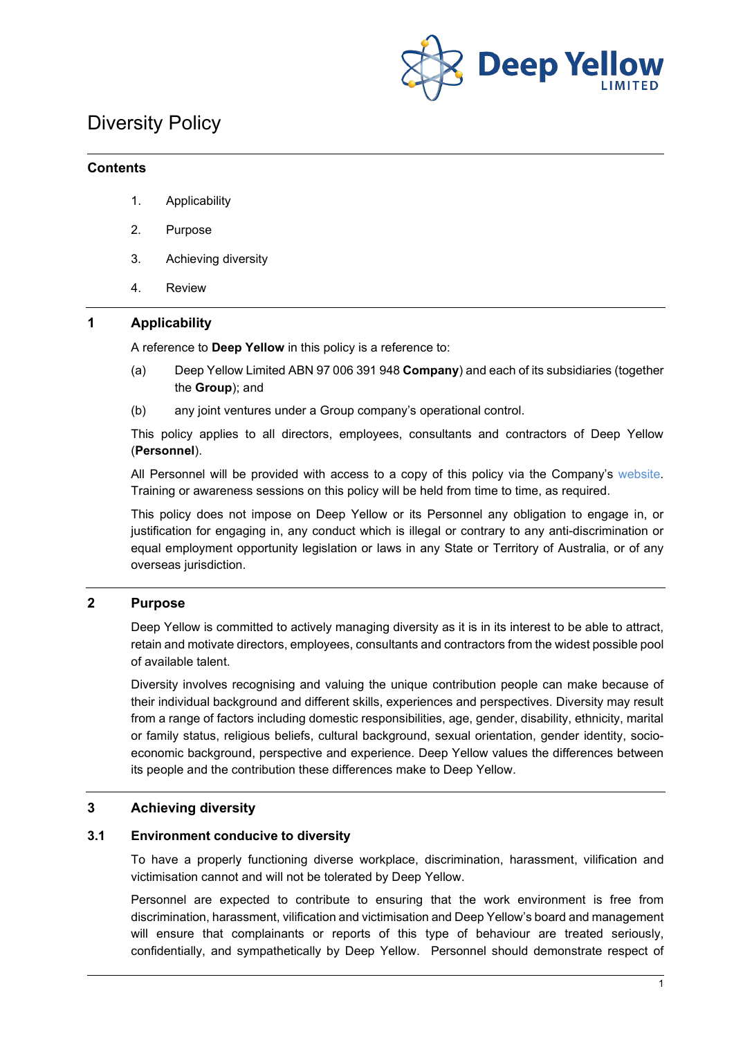

# Diversity Policy

#### **Contents**

- 1. Applicability
- 2. Purpose
- 3. Achieving diversity
- 4. Review

## **1 Applicability**

A reference to **Deep Yellow** in this policy is a reference to:

- (a) Deep Yellow Limited ABN 97 006 391 948 **Company**) and each of its subsidiaries (together the **Group**); and
- (b) any joint ventures under a Group company's operational control.

This policy applies to all directors, employees, consultants and contractors of Deep Yellow (**Personnel**).

All Personnel will be provided with access to a copy of this policy via the Company's [website.](http://www.deepyellow.com.au/index.html) Training or awareness sessions on this policy will be held from time to time, as required.

This policy does not impose on Deep Yellow or its Personnel any obligation to engage in, or justification for engaging in, any conduct which is illegal or contrary to any anti-discrimination or equal employment opportunity legislation or laws in any State or Territory of Australia, or of any overseas jurisdiction.

## **2 Purpose**

Deep Yellow is committed to actively managing diversity as it is in its interest to be able to attract, retain and motivate directors, employees, consultants and contractors from the widest possible pool of available talent.

Diversity involves recognising and valuing the unique contribution people can make because of their individual background and different skills, experiences and perspectives. Diversity may result from a range of factors including domestic responsibilities, age, gender, disability, ethnicity, marital or family status, religious beliefs, cultural background, sexual orientation, gender identity, socioeconomic background, perspective and experience. Deep Yellow values the differences between its people and the contribution these differences make to Deep Yellow.

## **3 Achieving diversity**

## **3.1 Environment conducive to diversity**

To have a properly functioning diverse workplace, discrimination, harassment, vilification and victimisation cannot and will not be tolerated by Deep Yellow.

Personnel are expected to contribute to ensuring that the work environment is free from discrimination, harassment, vilification and victimisation and Deep Yellow's board and management will ensure that complainants or reports of this type of behaviour are treated seriously, confidentially, and sympathetically by Deep Yellow. Personnel should demonstrate respect of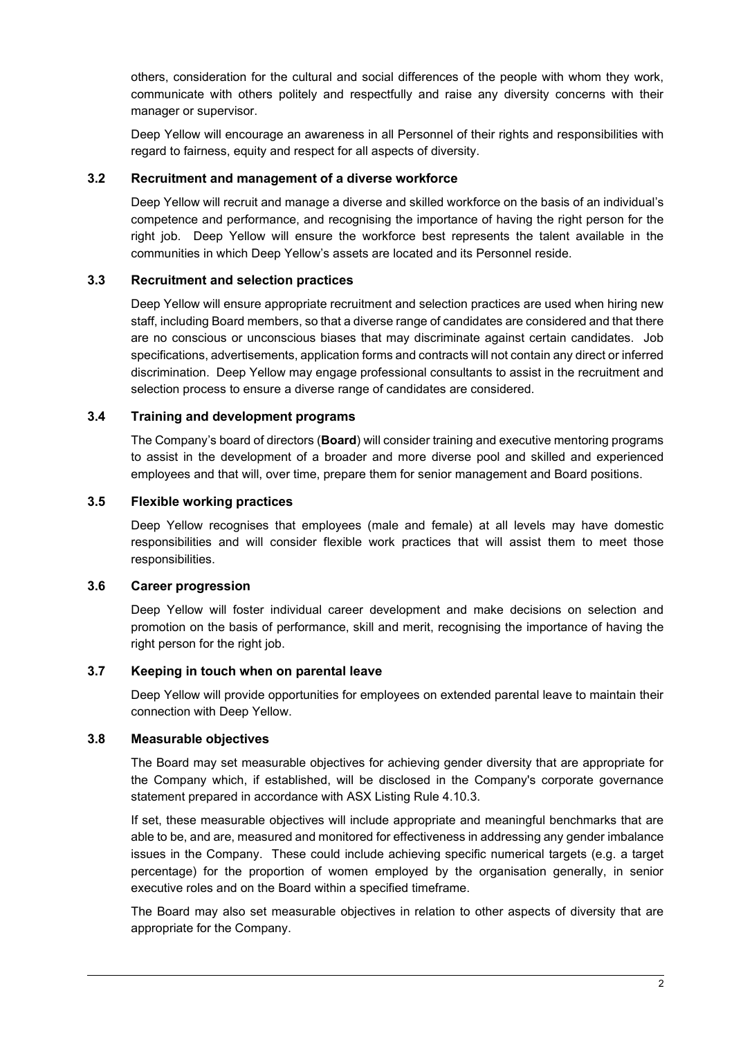others, consideration for the cultural and social differences of the people with whom they work, communicate with others politely and respectfully and raise any diversity concerns with their manager or supervisor.

Deep Yellow will encourage an awareness in all Personnel of their rights and responsibilities with regard to fairness, equity and respect for all aspects of diversity.

#### **3.2 Recruitment and management of a diverse workforce**

Deep Yellow will recruit and manage a diverse and skilled workforce on the basis of an individual's competence and performance, and recognising the importance of having the right person for the right job. Deep Yellow will ensure the workforce best represents the talent available in the communities in which Deep Yellow's assets are located and its Personnel reside.

#### **3.3 Recruitment and selection practices**

Deep Yellow will ensure appropriate recruitment and selection practices are used when hiring new staff, including Board members, so that a diverse range of candidates are considered and that there are no conscious or unconscious biases that may discriminate against certain candidates. Job specifications, advertisements, application forms and contracts will not contain any direct or inferred discrimination. Deep Yellow may engage professional consultants to assist in the recruitment and selection process to ensure a diverse range of candidates are considered.

#### **3.4 Training and development programs**

The Company's board of directors (**Board**) will consider training and executive mentoring programs to assist in the development of a broader and more diverse pool and skilled and experienced employees and that will, over time, prepare them for senior management and Board positions.

#### **3.5 Flexible working practices**

Deep Yellow recognises that employees (male and female) at all levels may have domestic responsibilities and will consider flexible work practices that will assist them to meet those responsibilities.

#### **3.6 Career progression**

Deep Yellow will foster individual career development and make decisions on selection and promotion on the basis of performance, skill and merit, recognising the importance of having the right person for the right job.

## **3.7 Keeping in touch when on parental leave**

Deep Yellow will provide opportunities for employees on extended parental leave to maintain their connection with Deep Yellow.

#### **3.8 Measurable objectives**

The Board may set measurable objectives for achieving gender diversity that are appropriate for the Company which, if established, will be disclosed in the Company's corporate governance statement prepared in accordance with ASX Listing Rule 4.10.3.

If set, these measurable objectives will include appropriate and meaningful benchmarks that are able to be, and are, measured and monitored for effectiveness in addressing any gender imbalance issues in the Company. These could include achieving specific numerical targets (e.g. a target percentage) for the proportion of women employed by the organisation generally, in senior executive roles and on the Board within a specified timeframe.

The Board may also set measurable objectives in relation to other aspects of diversity that are appropriate for the Company.